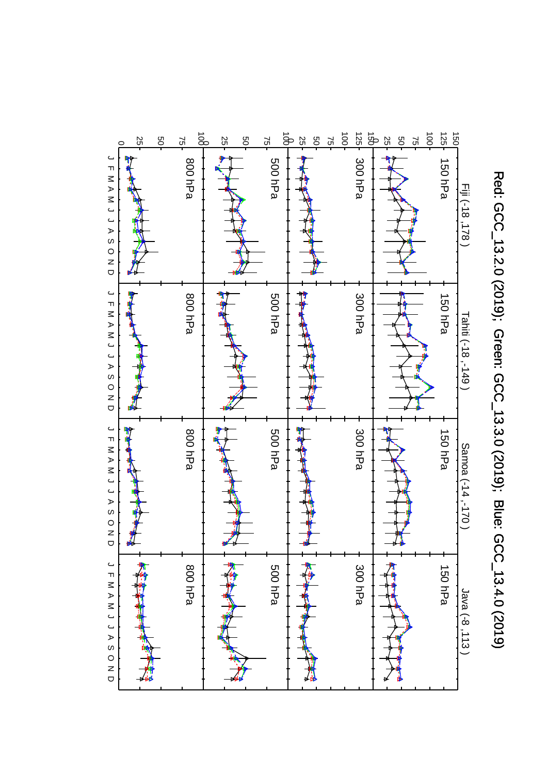